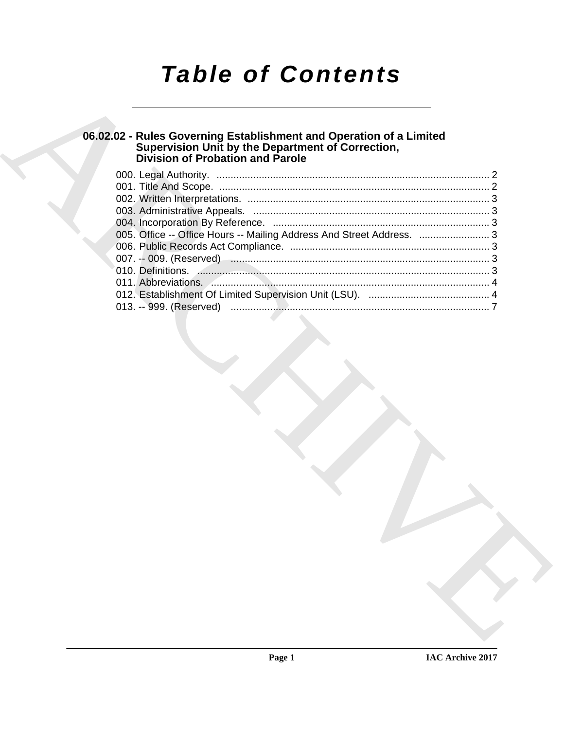# *Table of Contents*

### **06.02.02 - Rules Governing Establishment and Operation of a Limited Supervision Unit by the Department of Correction, Division of Probation and Parole**

| 06.02.02 - Rules Governing Establishment and Operation of a Limited<br>Supervision Unit by the Department of Correction,<br>Division of Probation and Parole |  |
|--------------------------------------------------------------------------------------------------------------------------------------------------------------|--|
|                                                                                                                                                              |  |
|                                                                                                                                                              |  |
|                                                                                                                                                              |  |
|                                                                                                                                                              |  |
|                                                                                                                                                              |  |
| 005. Office -- Office Hours -- Mailing Address And Street Address.  3                                                                                        |  |
|                                                                                                                                                              |  |
|                                                                                                                                                              |  |
|                                                                                                                                                              |  |
|                                                                                                                                                              |  |
| 013. -- 999. (Reserved)                                                                                                                                      |  |
|                                                                                                                                                              |  |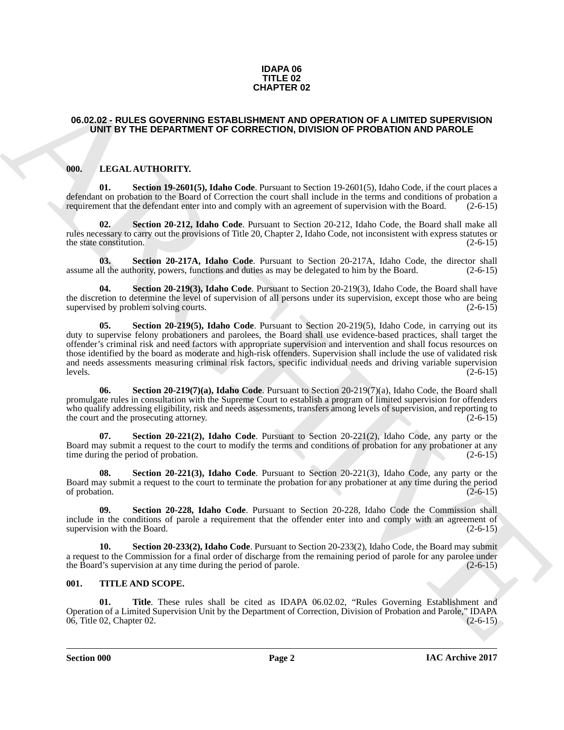#### **IDAPA 06 TITLE 02 CHAPTER 02**

#### <span id="page-1-0"></span>**06.02.02 - RULES GOVERNING ESTABLISHMENT AND OPERATION OF A LIMITED SUPERVISION UNIT BY THE DEPARTMENT OF CORRECTION, DIVISION OF PROBATION AND PAROLE**

### <span id="page-1-3"></span><span id="page-1-1"></span>**000. LEGAL AUTHORITY.**

<span id="page-1-4"></span>**01. Section 19-2601(5), Idaho Code**. Pursuant to Section 19-2601(5), Idaho Code, if the court places a defendant on probation to the Board of Correction the court shall include in the terms and conditions of probation a requirement that the defendant enter into and comply with an agreement of supervision with the Board. (2-6-15)

<span id="page-1-5"></span>**02. Section 20-212, Idaho Code**. Pursuant to Section 20-212, Idaho Code, the Board shall make all rules necessary to carry out the provisions of Title 20, Chapter 2, Idaho Code, not inconsistent with express statutes or the state constitution.  $(2-6-15)$ 

<span id="page-1-6"></span>**03. Section 20-217A, Idaho Code**. Pursuant to Section 20-217A, Idaho Code, the director shall assume all the authority, powers, functions and duties as may be delegated to him by the Board. (2-6-15)

<span id="page-1-8"></span><span id="page-1-7"></span>**Section 20-219(3), Idaho Code**. Pursuant to Section 20-219(3), Idaho Code, the Board shall have the discretion to determine the level of supervision of all persons under its supervision, except those who are being supervised by problem solving courts. (2-6-15)

**CHAPTER 02**<br> **CHAPTER 26**<br> **CHAPTER SCHEMENT OF CODERCITOR, ONE DEPARTMENT OF CORRECTION (DVISION OF PADMATION AND PARTMENT)<br>
(INTERNATION THE CONTENTING CODERCITOR) (DVISION OF PROMATION AND PARTMENT)<br>
(INTERNATION TO T Section 20-219(5), Idaho Code**. Pursuant to Section 20-219(5), Idaho Code, in carrying out its duty to supervise felony probationers and parolees, the Board shall use evidence-based practices, shall target the offender's criminal risk and need factors with appropriate supervision and intervention and shall focus resources on those identified by the board as moderate and high-risk offenders. Supervision shall include the use of validated risk and needs assessments measuring criminal risk factors, specific individual needs and driving variable supervision  $\lvert \text{levels.} \rvert$  (2-6-15)

<span id="page-1-9"></span>**06. Section 20-219(7)(a), Idaho Code**. Pursuant to Section 20-219(7)(a), Idaho Code, the Board shall promulgate rules in consultation with the Supreme Court to establish a program of limited supervision for offenders who qualify addressing eligibility, risk and needs assessments, transfers among levels of supervision, and reporting to the court and the prosecuting attorney. (2-6-15)

<span id="page-1-10"></span>**07. Section 20-221(2), Idaho Code**. Pursuant to Section 20-221(2), Idaho Code, any party or the Board may submit a request to the court to modify the terms and conditions of probation for any probationer at any time during the period of probation. (2-6-15)

<span id="page-1-11"></span>**08. Section 20-221(3), Idaho Code**. Pursuant to Section 20-221(3), Idaho Code, any party or the Board may submit a request to the court to terminate the probation for any probationer at any time during the period of probation. (2-6-15) of probation.  $(2-6-15)$ 

<span id="page-1-12"></span>**09. Section 20-228, Idaho Code**. Pursuant to Section 20-228, Idaho Code the Commission shall include in the conditions of parole a requirement that the offender enter into and comply with an agreement of supervision with the Board.

<span id="page-1-13"></span>**10. Section 20-233(2), Idaho Code**. Pursuant to Section 20-233(2), Idaho Code, the Board may submit a request to the Commission for a final order of discharge from the remaining period of parole for any parolee under the Board's supervision at any time during the period of parole. (2-6-15)

#### <span id="page-1-14"></span><span id="page-1-2"></span>**001. TITLE AND SCOPE.**

<span id="page-1-15"></span>**01. Title**. These rules shall be cited as IDAPA 06.02.02, "Rules Governing Establishment and Operation of a Limited Supervision Unit by the Department of Correction, Division of Probation and Parole," IDAPA 06, Title 02, Chapter 02. (2-6-15)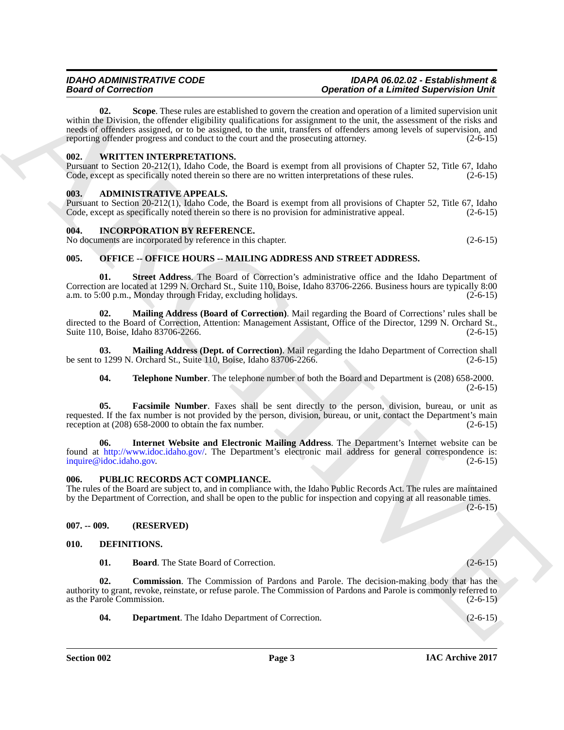Beard of General Constraints and the layer and the state of Lining and the state of the state of the state of the state of the state of the state of the state of the state of the state of the state of the state of the sta **02. Scope**. These rules are established to govern the creation and operation of a limited supervision unit within the Division, the offender eligibility qualifications for assignment to the unit, the assessment of the risks and needs of offenders assigned, or to be assigned, to the unit, transfers of offenders among levels of supervision, and reporting offender progress and conduct to the court and the prosecuting attorney. (2-6-15)

#### <span id="page-2-16"></span><span id="page-2-15"></span><span id="page-2-0"></span>**002. WRITTEN INTERPRETATIONS.**

Pursuant to Section 20-212(1), Idaho Code, the Board is exempt from all provisions of Chapter 52, Title 67, Idaho Code, except as specifically noted therein so there are no written interpretations of these rules. (2-6-15)

### <span id="page-2-7"></span><span id="page-2-1"></span>**003. ADMINISTRATIVE APPEALS.**

Pursuant to Section 20-212(1), Idaho Code, the Board is exempt from all provisions of Chapter 52, Title 67, Idaho Code, except as specifically noted therein so there is no provision for administrative appeal. (2-6-15) Code, except as specifically noted therein so there is no provision for administrative appeal.

#### <span id="page-2-12"></span><span id="page-2-2"></span>**004. INCORPORATION BY REFERENCE.**

No documents are incorporated by reference in this chapter. (2-6-15)

### <span id="page-2-13"></span><span id="page-2-3"></span>**005. OFFICE -- OFFICE HOURS -- MAILING ADDRESS AND STREET ADDRESS.**

**01. Street Address**. The Board of Correction's administrative office and the Idaho Department of Correction are located at 1299 N. Orchard St., Suite 110, Boise, Idaho 83706-2266. Business hours are typically 8:00 a.m. to 5:00 p.m., Monday through Friday, excluding holidays. (2-6-15)

**02. Mailing Address (Board of Correction)**. Mail regarding the Board of Corrections' rules shall be directed to the Board of Correction, Attention: Management Assistant, Office of the Director, 1299 N. Orchard St., Suite 110, Boise, Idaho 83706-2266. (2-6-15)

**03. Mailing Address (Dept. of Correction)**. Mail regarding the Idaho Department of Correction shall be sent to 1299 N. Orchard St., Suite 110, Boise, Idaho 83706-2266. (2-6-15)

#### **04. Telephone Number**. The telephone number of both the Board and Department is (208) 658-2000.  $(2-6-15)$

**05. Facsimile Number**. Faxes shall be sent directly to the person, division, bureau, or unit as requested. If the fax number is not provided by the person, division, bureau, or unit, contact the Department's main reception at (208) 658-2000 to obtain the fax number. (2-6-15)

**06. Internet Website and Electronic Mailing Address**. The Department's Internet website can be found at http://www.idoc.idaho.gov/. The Department's electronic mail address for general correspondence is: inquire@idoc.idaho.gov. (2-6-15)

#### <span id="page-2-14"></span><span id="page-2-4"></span>**006. PUBLIC RECORDS ACT COMPLIANCE.**

The rules of the Board are subject to, and in compliance with, the Idaho Public Records Act. The rules are maintained by the Department of Correction, and shall be open to the public for inspection and copying at all reasonable times.

 $(2-6-15)$ 

#### <span id="page-2-5"></span>**007. -- 009. (RESERVED)**

#### <span id="page-2-6"></span>**010. DEFINITIONS.**

<span id="page-2-10"></span><span id="page-2-9"></span><span id="page-2-8"></span>**01. Board**. The State Board of Correction. (2-6-15)

**02. Commission**. The Commission of Pardons and Parole. The decision-making body that has the authority to grant, revoke, reinstate, or refuse parole. The Commission of Pardons and Parole is commonly referred to as the Parole Commission. (2-6-15)

<span id="page-2-11"></span>**04. Department**. The Idaho Department of Correction. (2-6-15)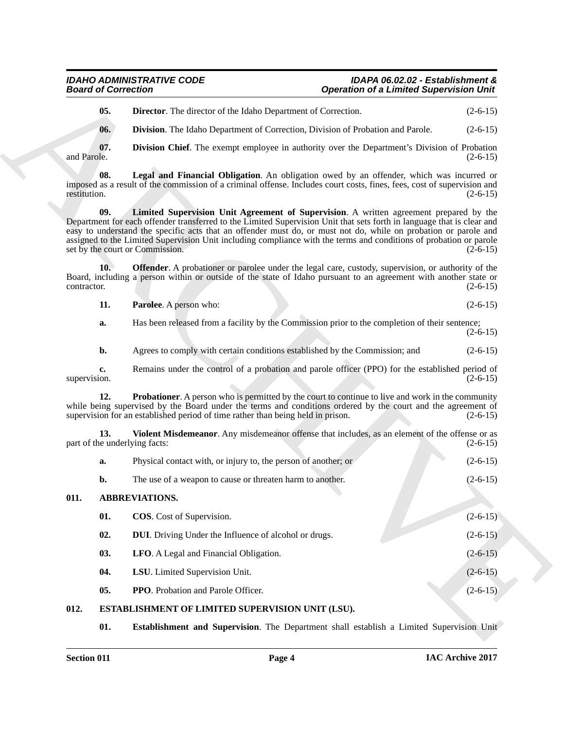#### <span id="page-3-11"></span><span id="page-3-10"></span><span id="page-3-9"></span><span id="page-3-8"></span>*IDAHO ADMINISTRATIVE CODE IDAPA 06.02.02 - Establishment &* **Operation of a Limited Supervision Unit**

<span id="page-3-16"></span><span id="page-3-15"></span><span id="page-3-14"></span><span id="page-3-13"></span><span id="page-3-12"></span>

|  | <b>Parolee.</b> A person who: |  | $(2-6-15)$ |
|--|-------------------------------|--|------------|
|--|-------------------------------|--|------------|

| <b>Board of Correction</b>           |                                                                                                                                                                                                                                                                                                                                                                                                                                                                                              | <b>Operation of a Limited Supervision Unit</b> |  |
|--------------------------------------|----------------------------------------------------------------------------------------------------------------------------------------------------------------------------------------------------------------------------------------------------------------------------------------------------------------------------------------------------------------------------------------------------------------------------------------------------------------------------------------------|------------------------------------------------|--|
| 05.                                  | <b>Director.</b> The director of the Idaho Department of Correction.                                                                                                                                                                                                                                                                                                                                                                                                                         | $(2-6-15)$                                     |  |
| 06.                                  | Division. The Idaho Department of Correction, Division of Probation and Parole.                                                                                                                                                                                                                                                                                                                                                                                                              | $(2-6-15)$                                     |  |
| 07.<br>and Parole.                   | <b>Division Chief.</b> The exempt employee in authority over the Department's Division of Probation                                                                                                                                                                                                                                                                                                                                                                                          | $(2-6-15)$                                     |  |
| 08.<br>restitution.                  | Legal and Financial Obligation. An obligation owed by an offender, which was incurred or<br>imposed as a result of the commission of a criminal offense. Includes court costs, fines, fees, cost of supervision and                                                                                                                                                                                                                                                                          | $(2-6-15)$                                     |  |
| 09.                                  | Limited Supervision Unit Agreement of Supervision. A written agreement prepared by the<br>Department for each offender transferred to the Limited Supervision Unit that sets forth in language that is clear and<br>easy to understand the specific acts that an offender must do, or must not do, while on probation or parole and<br>assigned to the Limited Supervision Unit including compliance with the terms and conditions of probation or parole<br>set by the court or Commission. | $(2-6-15)$                                     |  |
| 10.<br>contractor.                   | Offender. A probationer or parolee under the legal care, custody, supervision, or authority of the<br>Board, including a person within or outside of the state of Idaho pursuant to an agreement with another state or                                                                                                                                                                                                                                                                       | $(2-6-15)$                                     |  |
| 11.                                  | Parolee. A person who:                                                                                                                                                                                                                                                                                                                                                                                                                                                                       | $(2-6-15)$                                     |  |
| a.                                   | Has been released from a facility by the Commission prior to the completion of their sentence;                                                                                                                                                                                                                                                                                                                                                                                               | $(2-6-15)$                                     |  |
| $\mathbf{b}$ .                       | Agrees to comply with certain conditions established by the Commission; and                                                                                                                                                                                                                                                                                                                                                                                                                  | $(2-6-15)$                                     |  |
| c.<br>supervision.                   | Remains under the control of a probation and parole officer (PPO) for the established period of                                                                                                                                                                                                                                                                                                                                                                                              | $(2-6-15)$                                     |  |
| 12.                                  | <b>Probationer.</b> A person who is permitted by the court to continue to live and work in the community<br>while being supervised by the Board under the terms and conditions ordered by the court and the agreement of<br>supervision for an established period of time rather than being held in prison.                                                                                                                                                                                  | $(2-6-15)$                                     |  |
| 13.<br>part of the underlying facts: | Violent Misdemeanor. Any misdemeanor offense that includes, as an element of the offense or as                                                                                                                                                                                                                                                                                                                                                                                               | $(2-6-15)$                                     |  |
| a.                                   | Physical contact with, or injury to, the person of another; or                                                                                                                                                                                                                                                                                                                                                                                                                               | $(2-6-15)$                                     |  |
| b.                                   | The use of a weapon to cause or threaten harm to another.                                                                                                                                                                                                                                                                                                                                                                                                                                    | $(2-6-15)$                                     |  |
| 011.                                 | <b>ABBREVIATIONS.</b>                                                                                                                                                                                                                                                                                                                                                                                                                                                                        |                                                |  |
| 01.                                  | <b>COS.</b> Cost of Supervision.                                                                                                                                                                                                                                                                                                                                                                                                                                                             | $(2-6-15)$                                     |  |
| 02.                                  | <b>DUI</b> . Driving Under the Influence of alcohol or drugs.                                                                                                                                                                                                                                                                                                                                                                                                                                | $(2-6-15)$                                     |  |
| 03.                                  | LFO. A Legal and Financial Obligation.                                                                                                                                                                                                                                                                                                                                                                                                                                                       | $(2-6-15)$                                     |  |
| 04.                                  | LSU. Limited Supervision Unit.                                                                                                                                                                                                                                                                                                                                                                                                                                                               | $(2-6-15)$                                     |  |
| 05.                                  | PPO. Probation and Parole Officer.                                                                                                                                                                                                                                                                                                                                                                                                                                                           | $(2-6-15)$                                     |  |
| 012.                                 | ESTABLISHMENT OF LIMITED SUPERVISION UNIT (LSU).                                                                                                                                                                                                                                                                                                                                                                                                                                             |                                                |  |
|                                      |                                                                                                                                                                                                                                                                                                                                                                                                                                                                                              |                                                |  |

### <span id="page-3-18"></span><span id="page-3-17"></span><span id="page-3-7"></span><span id="page-3-6"></span><span id="page-3-5"></span><span id="page-3-4"></span><span id="page-3-3"></span><span id="page-3-2"></span><span id="page-3-1"></span><span id="page-3-0"></span>**012. ESTABLISHMENT OF LIMITED SUPERVISION UNIT (LSU).**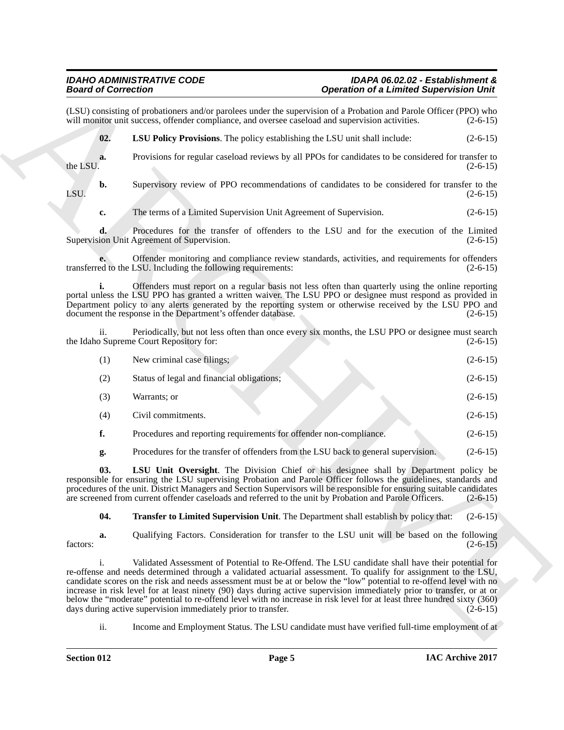<span id="page-4-0"></span>Beatrical Convention 1.1 And the system of the Linder Convention Convention Convention Convention Convention Convention Convention Convention 1.1 And the System of the Convention Convention Convention Convention Conventio (LSU) consisting of probationers and/or parolees under the supervision of a Probation and Parole Officer (PPO) who will monitor unit success, offender compliance, and oversee caseload and supervision activities. (2-6-15) will monitor unit success, offender compliance, and oversee caseload and supervision activities. **02. LSU Policy Provisions**. The policy establishing the LSU unit shall include: (2-6-15) **a.** Provisions for regular caseload reviews by all PPOs for candidates to be considered for transfer to the LSU.  $(2-6-15)$ the LSU.  $(2-6-15)$ **b.** Supervisory review of PPO recommendations of candidates to be considered for transfer to the LSU.  $(2-6-15)$ **c.** The terms of a Limited Supervision Unit Agreement of Supervision. (2-6-15) **d.** Procedures for the transfer of offenders to the LSU and for the execution of the Limited Supervision Unit Agreement of Supervision. (2-6-15) **e.** Offender monitoring and compliance review standards, activities, and requirements for offenders ed to the LSU. Including the following requirements: (2-6-15) transferred to the LSU. Including the following requirements: **i.** Offenders must report on a regular basis not less often than quarterly using the online reporting portal unless the LSU PPO has granted a written waiver. The LSU PPO or designee must respond as provided in Department policy to any alerts generated by the reporting system or otherwise received by the LSU PPO and document the response in the Department's offender database. (2-6-15) ii. Periodically, but not less often than once every six months, the LSU PPO or designee must search the Idaho Supreme Court Repository for: (1) New criminal case filings; (2-6-15) (2) Status of legal and financial obligations; (2-6-15)  $\text{Warrants; or}$  (2-6-15) (4) Civil commitments. (2-6-15) **f.** Procedures and reporting requirements for offender non-compliance. (2-6-15) **g.** Procedures for the transfer of offenders from the LSU back to general supervision. (2-6-15) **03. LSU Unit Oversight**. The Division Chief or his designee shall by Department policy be

responsible for ensuring the LSU supervising Probation and Parole Officer follows the guidelines, standards and procedures of the unit. District Managers and Section Supervisors will be responsible for ensuring suitable candidates are screened from current offender caseloads and referred to the unit by Probation and Parole Officers. (2-6-15)

<span id="page-4-2"></span><span id="page-4-1"></span>**04. Transfer to Limited Supervision Unit**. The Department shall establish by policy that: (2-6-15)

**a.** Qualifying Factors. Consideration for transfer to the LSU unit will be based on the following factors:  $(2-6-15)$ 

i. Validated Assessment of Potential to Re-Offend. The LSU candidate shall have their potential for re-offense and needs determined through a validated actuarial assessment. To qualify for assignment to the LSU, candidate scores on the risk and needs assessment must be at or below the "low" potential to re-offend level with no increase in risk level for at least ninety (90) days during active supervision immediately prior to transfer, or at or below the "moderate" potential to re-offend level with no increase in risk level for at least three hundred sixty (360) days during active supervision immediately prior to transfer. (2-6-15) days during active supervision immediately prior to transfer.

ii. Income and Employment Status. The LSU candidate must have verified full-time employment of at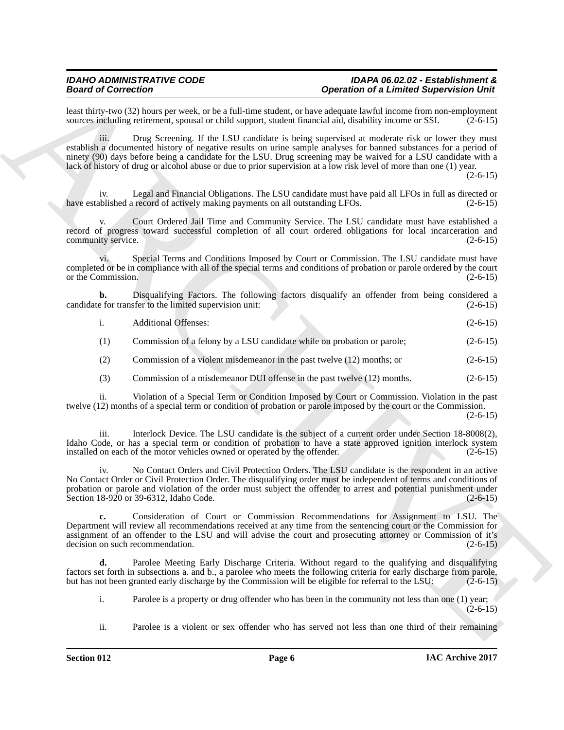#### *IDAHO ADMINISTRATIVE CODE IDAPA 06.02.02 - Establishment &* **Operation of a Limited Supervision Unit**

least thirty-two (32) hours per week, or be a full-time student, or have adequate lawful income from non-employment sources including retirement, spousal or child support, student financial aid, disability income or SSI. ( sources including retirement, spousal or child support, student financial aid, disability income or SSI.

iii. Drug Screening. If the LSU candidate is being supervised at moderate risk or lower they must establish a documented history of negative results on urine sample analyses for banned substances for a period of ninety (90) days before being a candidate for the LSU. Drug screening may be waived for a LSU candidate with a lack of history of drug or alcohol abuse or due to prior supervision at a low risk level of more than one (1) year.

 $(2-6-15)$ 

Legal and Financial Obligations. The LSU candidate must have paid all LFOs in full as directed or have established a record of actively making payments on all outstanding LFOs. (2-6-15)

Court Ordered Jail Time and Community Service. The LSU candidate must have established a record of progress toward successful completion of all court ordered obligations for local incarceration and community service. (2-6-15)

vi. Special Terms and Conditions Imposed by Court or Commission. The LSU candidate must have completed or be in compliance with all of the special terms and conditions of probation or parole ordered by the court or the Commission. (2-6-15)

**b.** Disqualifying Factors. The following factors disqualify an offender from being considered a efor transfer to the limited supervision unit: (2-6-15) candidate for transfer to the limited supervision unit:

| <b>Additional Offenses:</b> | $(2-6-15)$ |
|-----------------------------|------------|
|-----------------------------|------------|

(1) Commission of a felony by a LSU candidate while on probation or parole; (2-6-15)

- (2) Commission of a violent misdemeanor in the past twelve (12) months; or (2-6-15)
- (3) Commission of a misdemeanor DUI offense in the past twelve (12) months. (2-6-15)

ii. Violation of a Special Term or Condition Imposed by Court or Commission. Violation in the past twelve (12) months of a special term or condition of probation or parole imposed by the court or the Commission.

(2-6-15)

iii. Interlock Device. The LSU candidate is the subject of a current order under Section 18-8008(2), Idaho Code, or has a special term or condition of probation to have a state approved ignition interlock system installed on each of the motor vehicles owned or operated by the offender. (2-6-15) installed on each of the motor vehicles owned or operated by the offender.

Beatrice Connection<br>
Example the specific term is the specific of the specific of the specific of the specific of the specific of the specific of the specific of the specific of the specific of the specific of the specifi iv. No Contact Orders and Civil Protection Orders. The LSU candidate is the respondent in an active No Contact Order or Civil Protection Order. The disqualifying order must be independent of terms and conditions of probation or parole and violation of the order must subject the offender to arrest and potential punishment under Section 18-920 or 39-6312, Idaho Code. (2-6-15)

**c.** Consideration of Court or Commission Recommendations for Assignment to LSU. The Department will review all recommendations received at any time from the sentencing court or the Commission for assignment of an offender to the LSU and will advise the court and prosecuting attorney or Commission of it's decision on such recommendation. (2-6-15)

Parolee Meeting Early Discharge Criteria. Without regard to the qualifying and disqualifying factors set forth in subsections a. and b., a parolee who meets the following criteria for early discharge from parole, but has not been granted early discharge by the Commission will be eligible for referral to the LSU: (2-6-15)

i. Parolee is a property or drug offender who has been in the community not less than one (1) year;  $(2-6-15)$ 

ii. Parolee is a violent or sex offender who has served not less than one third of their remaining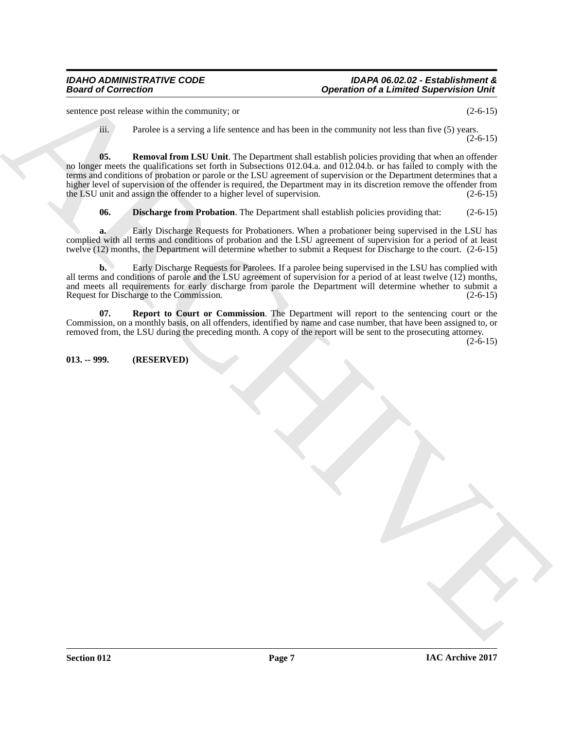#### *IDAHO ADMINISTRATIVE CODE IDAPA 06.02.02 - Establishment &* **Operation of a Limited Supervision Unit**

sentence post release within the community; or (2-6-15)

<span id="page-6-2"></span>iii. Parolee is a serving a life sentence and has been in the community not less than five (5) years.  $(2-6-15)$ 

**Spectral of Correction**<br>
scaling the state of the state of the state of the content of the correction of the state of the state of the state of the state of the state of the state of the state of the state of the state o **05. Removal from LSU Unit**. The Department shall establish policies providing that when an offender no longer meets the qualifications set forth in Subsections 012.04.a. and 012.04.b. or has failed to comply with the terms and conditions of probation or parole or the LSU agreement of supervision or the Department determines that a higher level of supervision of the offender is required, the Department may in its discretion remove the offender from the LSU unit and assign the offender to a higher level of supervision. (2-6-15)

<span id="page-6-1"></span>**06. Discharge from Probation**. The Department shall establish policies providing that: (2-6-15)

**a.** Early Discharge Requests for Probationers. When a probationer being supervised in the LSU has complied with all terms and conditions of probation and the LSU agreement of supervision for a period of at least twelve (12) months, the Department will determine whether to submit a Request for Discharge to the court. (2-6-15)

**b.** Early Discharge Requests for Parolees. If a parolee being supervised in the LSU has complied with all terms and conditions of parole and the LSU agreement of supervision for a period of at least twelve (12) months, and meets all requirements for early discharge from parole the Department will determine whether to submit a Request for Discharge to the Commission. (2-6-15)

<span id="page-6-3"></span>**07. Report to Court or Commission**. The Department will report to the sentencing court or the Commission, on a monthly basis, on all offenders, identified by name and case number, that have been assigned to, or removed from, the LSU during the preceding month. A copy of the report will be sent to the prosecuting attorney.

 $(2-6-15)$ 

### <span id="page-6-0"></span>**013. -- 999. (RESERVED)**